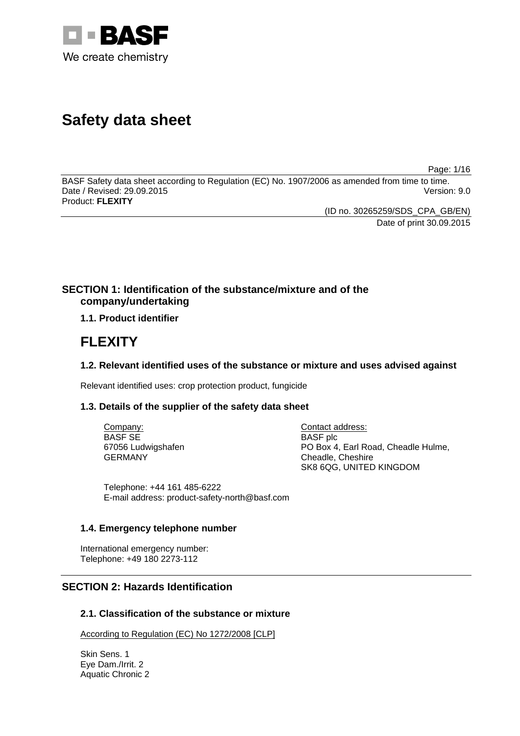

# **Safety data sheet**

Page: 1/16

BASF Safety data sheet according to Regulation (EC) No. 1907/2006 as amended from time to time. Date / Revised: 29.09.2015 Product: **FLEXITY**

> (ID no. 30265259/SDS\_CPA\_GB/EN) Date of print 30.09.2015

# **SECTION 1: Identification of the substance/mixture and of the company/undertaking**

# **1.1. Product identifier**

# **FLEXITY**

# **1.2. Relevant identified uses of the substance or mixture and uses advised against**

Relevant identified uses: crop protection product, fungicide

# **1.3. Details of the supplier of the safety data sheet**

Company: BASF SE 67056 Ludwigshafen GERMANY

Contact address: BASF plc PO Box 4, Earl Road, Cheadle Hulme, Cheadle, Cheshire SK8 6QG, UNITED KINGDOM

Telephone: +44 161 485-6222 E-mail address: product-safety-north@basf.com

# **1.4. Emergency telephone number**

International emergency number: Telephone: +49 180 2273-112

# **SECTION 2: Hazards Identification**

# **2.1. Classification of the substance or mixture**

According to Regulation (EC) No 1272/2008 [CLP]

Skin Sens. 1 Eye Dam./Irrit. 2 Aquatic Chronic 2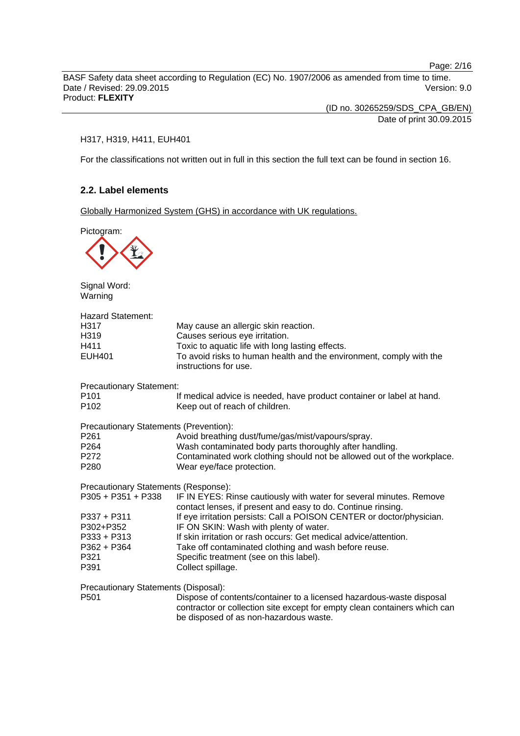Page: 2/16

BASF Safety data sheet according to Regulation (EC) No. 1907/2006 as amended from time to time. Date / Revised: 29.09.2015 Version: 9.0 Product: **FLEXITY**

(ID no. 30265259/SDS\_CPA\_GB/EN)

Date of print 30.09.2015

## H317, H319, H411, EUH401

For the classifications not written out in full in this section the full text can be found in section 16.

# **2.2. Label elements**

Globally Harmonized System (GHS) in accordance with UK regulations.

Pictogram:



Signal Word: Warning

| Hazard Statement:<br>H317<br>H319<br>H411<br>EUH401 | May cause an allergic skin reaction.<br>Causes serious eye irritation.<br>Toxic to aquatic life with long lasting effects.<br>To avoid risks to human health and the environment, comply with the<br>instructions for use. |
|-----------------------------------------------------|----------------------------------------------------------------------------------------------------------------------------------------------------------------------------------------------------------------------------|
| <b>Precautionary Statement:</b>                     |                                                                                                                                                                                                                            |
| P101<br>P102                                        | If medical advice is needed, have product container or label at hand.<br>Keep out of reach of children.                                                                                                                    |
| Precautionary Statements (Prevention):              |                                                                                                                                                                                                                            |
| P261                                                | Avoid breathing dust/fume/gas/mist/vapours/spray.                                                                                                                                                                          |
| P264                                                | Wash contaminated body parts thoroughly after handling.                                                                                                                                                                    |
| P272                                                | Contaminated work clothing should not be allowed out of the workplace.                                                                                                                                                     |
| P280                                                | Wear eye/face protection.                                                                                                                                                                                                  |
| Precautionary Statements (Response):                |                                                                                                                                                                                                                            |
| P305 + P351 + P338                                  | IF IN EYES: Rinse cautiously with water for several minutes. Remove<br>contact lenses, if present and easy to do. Continue rinsing.                                                                                        |
| P337 + P311                                         | If eye irritation persists: Call a POISON CENTER or doctor/physician.                                                                                                                                                      |
| P302+P352                                           | IF ON SKIN: Wash with plenty of water.                                                                                                                                                                                     |
| P333 + P313                                         | If skin irritation or rash occurs: Get medical advice/attention.                                                                                                                                                           |
| P362 + P364                                         | Take off contaminated clothing and wash before reuse.                                                                                                                                                                      |
| P321                                                | Specific treatment (see on this label).                                                                                                                                                                                    |
| P391                                                | Collect spillage.                                                                                                                                                                                                          |
| Precautionary Statements (Disposal):                |                                                                                                                                                                                                                            |
| P501                                                | Dispose of contents/container to a licensed hazardous-waste disposal                                                                                                                                                       |
|                                                     | contractor or collection site except for empty clean containers which can                                                                                                                                                  |

be disposed of as non-hazardous waste.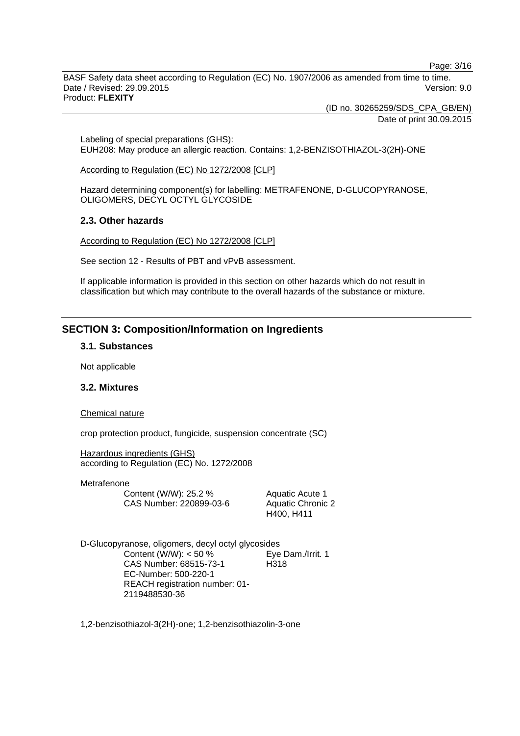Page: 3/16

BASF Safety data sheet according to Regulation (EC) No. 1907/2006 as amended from time to time. Date / Revised: 29.09.2015 Version: 9.0 Product: **FLEXITY**

(ID no. 30265259/SDS\_CPA\_GB/EN)

Date of print 30.09.2015

Labeling of special preparations (GHS): EUH208: May produce an allergic reaction. Contains: 1,2-BENZISOTHIAZOL-3(2H)-ONE

According to Regulation (EC) No 1272/2008 [CLP]

Hazard determining component(s) for labelling: METRAFENONE, D-GLUCOPYRANOSE, OLIGOMERS, DECYL OCTYL GLYCOSIDE

#### **2.3. Other hazards**

According to Regulation (EC) No 1272/2008 [CLP]

See section 12 - Results of PBT and vPvB assessment.

If applicable information is provided in this section on other hazards which do not result in classification but which may contribute to the overall hazards of the substance or mixture.

# **SECTION 3: Composition/Information on Ingredients**

#### **3.1. Substances**

Not applicable

# **3.2. Mixtures**

#### Chemical nature

crop protection product, fungicide, suspension concentrate (SC)

Hazardous ingredients (GHS) according to Regulation (EC) No. 1272/2008

Metrafenone

| Content (W/W): 25.2 %   |
|-------------------------|
| CAS Number: 220899-03-6 |

Aquatic Acute 1 Aquatic Chronic 2 H400, H411

D-Glucopyranose, oligomers, decyl octyl glycosides Content (W/W):  $<$  50 % CAS Number: 68515-73-1 EC-Number: 500-220-1 REACH registration number: 01- 2119488530-36 Eye Dam./Irrit. 1 H318

1,2-benzisothiazol-3(2H)-one; 1,2-benzisothiazolin-3-one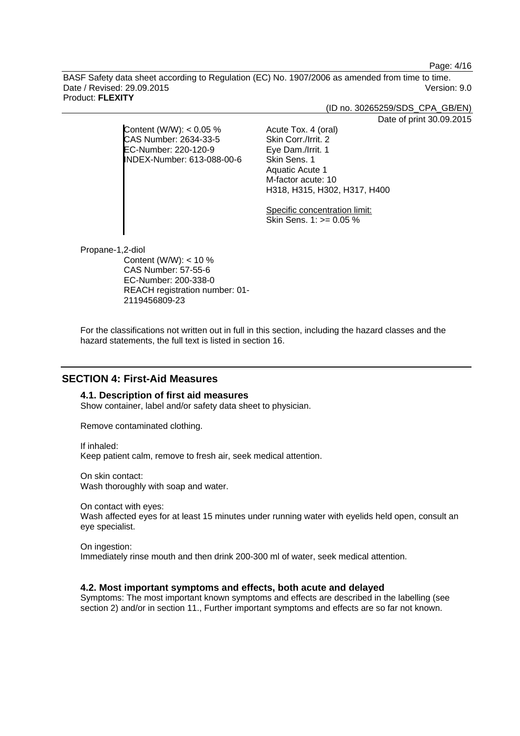Page: 4/16

BASF Safety data sheet according to Regulation (EC) No. 1907/2006 as amended from time to time. Date / Revised: 29.09.2015 Version: 9.0 Product: **FLEXITY**

(ID no. 30265259/SDS\_CPA\_GB/EN)

Date of print 30.09.2015

|                            | Dau                          |
|----------------------------|------------------------------|
| Content (W/W): $< 0.05$ %  | Acute Tox. 4 (oral)          |
| CAS Number: 2634-33-5      | Skin Corr./Irrit. 2          |
| EC-Number: 220-120-9       | Eye Dam./Irrit. 1            |
| INDEX-Number: 613-088-00-6 | Skin Sens. 1                 |
|                            | Aquatic Acute 1              |
|                            | M-factor acute: 10           |
|                            | H318, H315, H302, H317, H400 |
|                            |                              |
|                            |                              |

Specific concentration limit: Skin Sens.  $1:>= 0.05\%$ 

Propane-1,2-diol

Content (W/W): < 10 % CAS Number: 57-55-6 EC-Number: 200-338-0 REACH registration number: 01- 2119456809-23

For the classifications not written out in full in this section, including the hazard classes and the hazard statements, the full text is listed in section 16.

# **SECTION 4: First-Aid Measures**

#### **4.1. Description of first aid measures**

Show container, label and/or safety data sheet to physician.

Remove contaminated clothing.

If inhaled:

Keep patient calm, remove to fresh air, seek medical attention.

On skin contact: Wash thoroughly with soap and water.

On contact with eyes:

Wash affected eyes for at least 15 minutes under running water with eyelids held open, consult an eye specialist.

On ingestion: Immediately rinse mouth and then drink 200-300 ml of water, seek medical attention.

# **4.2. Most important symptoms and effects, both acute and delayed**

Symptoms: The most important known symptoms and effects are described in the labelling (see section 2) and/or in section 11.. Further important symptoms and effects are so far not known.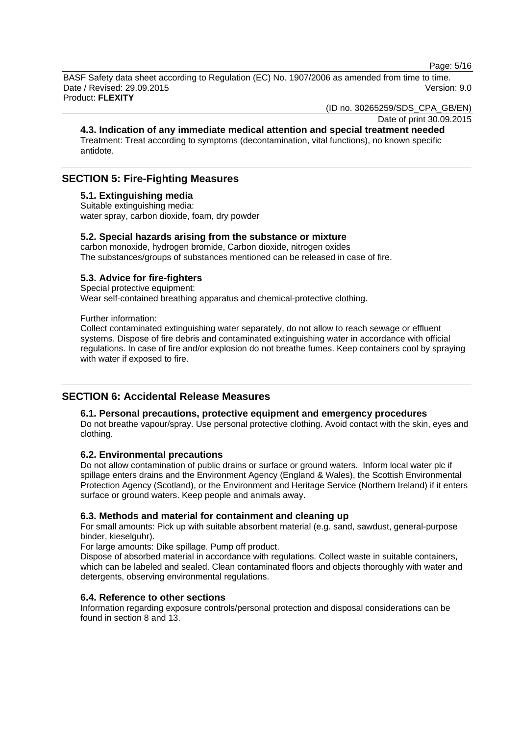Page: 5/16

BASF Safety data sheet according to Regulation (EC) No. 1907/2006 as amended from time to time. Date / Revised: 29.09.2015 Version: 9.0 Product: **FLEXITY**

(ID no. 30265259/SDS\_CPA\_GB/EN)

Date of print 30.09.2015

**4.3. Indication of any immediate medical attention and special treatment needed** Treatment: Treat according to symptoms (decontamination, vital functions), no known specific antidote.

# **SECTION 5: Fire-Fighting Measures**

### **5.1. Extinguishing media**

Suitable extinguishing media: water spray, carbon dioxide, foam, dry powder

## **5.2. Special hazards arising from the substance or mixture**

carbon monoxide, hydrogen bromide, Carbon dioxide, nitrogen oxides The substances/groups of substances mentioned can be released in case of fire.

# **5.3. Advice for fire-fighters**

Special protective equipment: Wear self-contained breathing apparatus and chemical-protective clothing.

Further information:

Collect contaminated extinguishing water separately, do not allow to reach sewage or effluent systems. Dispose of fire debris and contaminated extinguishing water in accordance with official regulations. In case of fire and/or explosion do not breathe fumes. Keep containers cool by spraying with water if exposed to fire.

# **SECTION 6: Accidental Release Measures**

#### **6.1. Personal precautions, protective equipment and emergency procedures**

Do not breathe vapour/spray. Use personal protective clothing. Avoid contact with the skin, eyes and clothing.

## **6.2. Environmental precautions**

Do not allow contamination of public drains or surface or ground waters. Inform local water plc if spillage enters drains and the Environment Agency (England & Wales), the Scottish Environmental Protection Agency (Scotland), or the Environment and Heritage Service (Northern Ireland) if it enters surface or ground waters. Keep people and animals away.

#### **6.3. Methods and material for containment and cleaning up**

For small amounts: Pick up with suitable absorbent material (e.g. sand, sawdust, general-purpose binder, kieselguhr).

For large amounts: Dike spillage. Pump off product.

Dispose of absorbed material in accordance with regulations. Collect waste in suitable containers, which can be labeled and sealed. Clean contaminated floors and objects thoroughly with water and detergents, observing environmental regulations.

### **6.4. Reference to other sections**

Information regarding exposure controls/personal protection and disposal considerations can be found in section 8 and 13.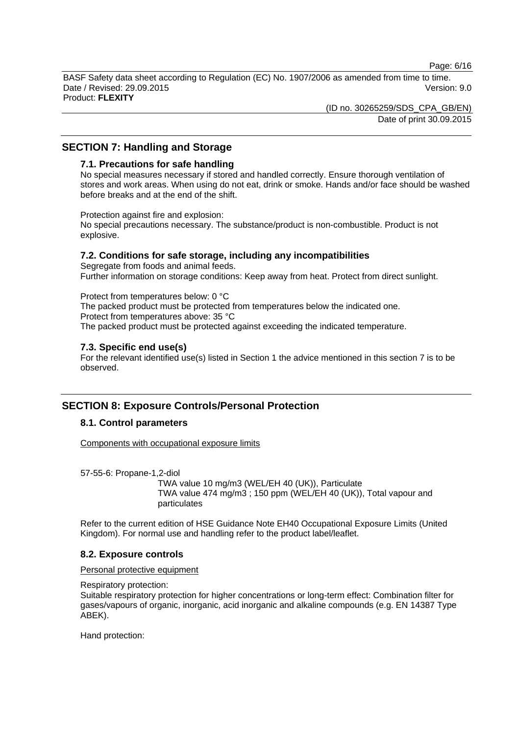Page: 6/16

BASF Safety data sheet according to Regulation (EC) No. 1907/2006 as amended from time to time. Date / Revised: 29.09.2015 Version: 9.0 Product: **FLEXITY**

> (ID no. 30265259/SDS\_CPA\_GB/EN) Date of print 30.09.2015

# **SECTION 7: Handling and Storage**

### **7.1. Precautions for safe handling**

No special measures necessary if stored and handled correctly. Ensure thorough ventilation of stores and work areas. When using do not eat, drink or smoke. Hands and/or face should be washed before breaks and at the end of the shift.

Protection against fire and explosion:

No special precautions necessary. The substance/product is non-combustible. Product is not explosive.

## **7.2. Conditions for safe storage, including any incompatibilities**

Segregate from foods and animal feeds. Further information on storage conditions: Keep away from heat. Protect from direct sunlight.

Protect from temperatures below: 0 °C The packed product must be protected from temperatures below the indicated one. Protect from temperatures above: 35 °C The packed product must be protected against exceeding the indicated temperature.

# **7.3. Specific end use(s)**

For the relevant identified use(s) listed in Section 1 the advice mentioned in this section 7 is to be observed.

# **SECTION 8: Exposure Controls/Personal Protection**

# **8.1. Control parameters**

Components with occupational exposure limits

57-55-6: Propane-1,2-diol

TWA value 10 mg/m3 (WEL/EH 40 (UK)), Particulate TWA value 474 mg/m3 ; 150 ppm (WEL/EH 40 (UK)), Total vapour and particulates

Refer to the current edition of HSE Guidance Note EH40 Occupational Exposure Limits (United Kingdom). For normal use and handling refer to the product label/leaflet.

#### **8.2. Exposure controls**

Personal protective equipment

Respiratory protection:

Suitable respiratory protection for higher concentrations or long-term effect: Combination filter for gases/vapours of organic, inorganic, acid inorganic and alkaline compounds (e.g. EN 14387 Type ABEK).

Hand protection: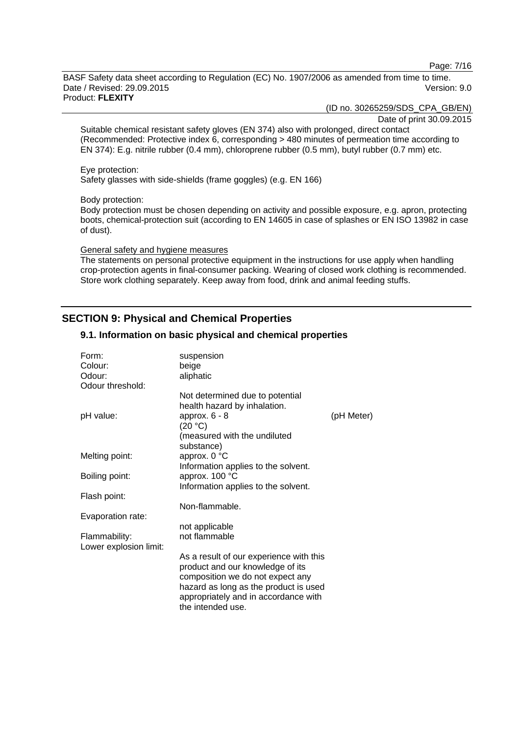Page: 7/16

BASF Safety data sheet according to Regulation (EC) No. 1907/2006 as amended from time to time. Date / Revised: 29.09.2015 Version: 9.0 Product: **FLEXITY**

(ID no. 30265259/SDS\_CPA\_GB/EN)

Date of print 30.09.2015

Suitable chemical resistant safety gloves (EN 374) also with prolonged, direct contact (Recommended: Protective index 6, corresponding > 480 minutes of permeation time according to EN 374): E.g. nitrile rubber (0.4 mm), chloroprene rubber (0.5 mm), butyl rubber (0.7 mm) etc.

#### Eye protection:

Safety glasses with side-shields (frame goggles) (e.g. EN 166)

#### Body protection:

Body protection must be chosen depending on activity and possible exposure, e.g. apron, protecting boots, chemical-protection suit (according to EN 14605 in case of splashes or EN ISO 13982 in case of dust).

#### General safety and hygiene measures

The statements on personal protective equipment in the instructions for use apply when handling crop-protection agents in final-consumer packing. Wearing of closed work clothing is recommended. Store work clothing separately. Keep away from food, drink and animal feeding stuffs.

# **SECTION 9: Physical and Chemical Properties**

## **9.1. Information on basic physical and chemical properties**

| Form:<br>Colour:<br>Odour:<br>Odour threshold: | suspension<br>beige<br>aliphatic                          |            |
|------------------------------------------------|-----------------------------------------------------------|------------|
|                                                | Not determined due to potential                           |            |
| pH value:                                      | health hazard by inhalation.<br>approx. $6 - 8$           | (pH Meter) |
|                                                | (20 °C)                                                   |            |
|                                                | (measured with the undiluted                              |            |
|                                                | substance)                                                |            |
| Melting point:                                 | approx. 0 °C<br>Information applies to the solvent.       |            |
| Boiling point:                                 | approx. 100 °C                                            |            |
|                                                | Information applies to the solvent.                       |            |
| Flash point:                                   |                                                           |            |
|                                                | Non-flammable.                                            |            |
| Evaporation rate:                              |                                                           |            |
|                                                | not applicable<br>not flammable                           |            |
| Flammability:<br>Lower explosion limit:        |                                                           |            |
|                                                | As a result of our experience with this                   |            |
|                                                | product and our knowledge of its                          |            |
|                                                | composition we do not expect any                          |            |
|                                                | hazard as long as the product is used                     |            |
|                                                | appropriately and in accordance with<br>the intended use. |            |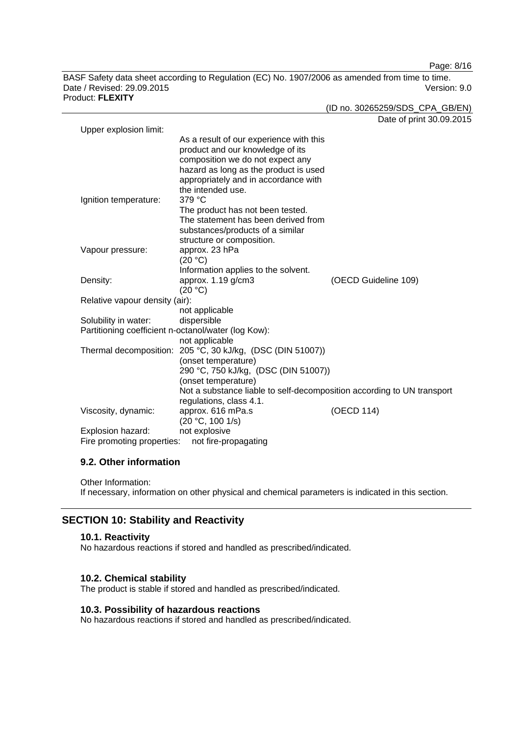Page: 8/16

BASF Safety data sheet according to Regulation (EC) No. 1907/2006 as amended from time to time. Date / Revised: 29.09.2015 Version: 9.0 Product: **FLEXITY**

(ID no. 30265259/SDS\_CPA\_GB/EN)

|                                |                                                                        | Date of print 30.09.2015 |
|--------------------------------|------------------------------------------------------------------------|--------------------------|
| Upper explosion limit:         |                                                                        |                          |
|                                | As a result of our experience with this                                |                          |
|                                | product and our knowledge of its                                       |                          |
|                                | composition we do not expect any                                       |                          |
|                                | hazard as long as the product is used                                  |                          |
|                                | appropriately and in accordance with                                   |                          |
|                                | the intended use.                                                      |                          |
| Ignition temperature:          | 379 °C                                                                 |                          |
|                                | The product has not been tested.                                       |                          |
|                                | The statement has been derived from                                    |                          |
|                                | substances/products of a similar                                       |                          |
|                                | structure or composition.                                              |                          |
| Vapour pressure:               | approx. 23 hPa                                                         |                          |
|                                | (20 °C)                                                                |                          |
|                                | Information applies to the solvent.                                    |                          |
| Density:                       | approx. 1.19 g/cm3                                                     | (OECD Guideline 109)     |
|                                | (20 °C)                                                                |                          |
| Relative vapour density (air): |                                                                        |                          |
|                                | not applicable                                                         |                          |
| Solubility in water:           | dispersible                                                            |                          |
|                                | Partitioning coefficient n-octanol/water (log Kow):                    |                          |
|                                | not applicable                                                         |                          |
|                                | Thermal decomposition: 205 °C, 30 kJ/kg, (DSC (DIN 51007))             |                          |
|                                | (onset temperature)                                                    |                          |
|                                | 290 °C, 750 kJ/kg, (DSC (DIN 51007))                                   |                          |
|                                | (onset temperature)                                                    |                          |
|                                | Not a substance liable to self-decomposition according to UN transport |                          |
|                                | regulations, class 4.1.                                                |                          |
| Viscosity, dynamic:            | approx. 616 mPa.s                                                      | (OECD 114)               |
|                                | (20 °C, 100 1/s)                                                       |                          |
| Explosion hazard:              | not explosive                                                          |                          |
| Fire promoting properties:     | not fire-propagating                                                   |                          |

# **9.2. Other information**

Other Information: If necessary, information on other physical and chemical parameters is indicated in this section.

# **SECTION 10: Stability and Reactivity**

#### **10.1. Reactivity**

No hazardous reactions if stored and handled as prescribed/indicated.

# **10.2. Chemical stability**

The product is stable if stored and handled as prescribed/indicated.

# **10.3. Possibility of hazardous reactions**

No hazardous reactions if stored and handled as prescribed/indicated.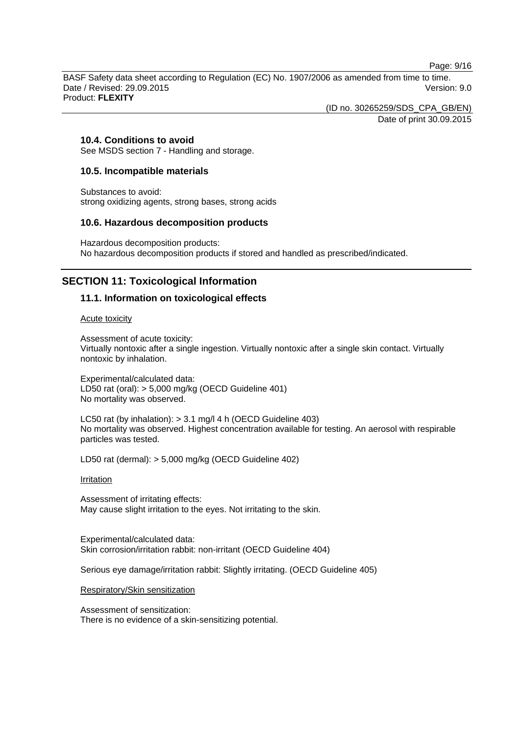Page: 9/16

BASF Safety data sheet according to Regulation (EC) No. 1907/2006 as amended from time to time. Date / Revised: 29.09.2015 Version: 9.0 Product: **FLEXITY**

> (ID no. 30265259/SDS\_CPA\_GB/EN) Date of print 30.09.2015

# **10.4. Conditions to avoid**

See MSDS section 7 - Handling and storage.

# **10.5. Incompatible materials**

Substances to avoid: strong oxidizing agents, strong bases, strong acids

## **10.6. Hazardous decomposition products**

Hazardous decomposition products: No hazardous decomposition products if stored and handled as prescribed/indicated.

# **SECTION 11: Toxicological Information**

# **11.1. Information on toxicological effects**

Acute toxicity

Assessment of acute toxicity: Virtually nontoxic after a single ingestion. Virtually nontoxic after a single skin contact. Virtually nontoxic by inhalation.

Experimental/calculated data: LD50 rat (oral): > 5,000 mg/kg (OECD Guideline 401) No mortality was observed.

LC50 rat (by inhalation): > 3.1 mg/l 4 h (OECD Guideline 403) No mortality was observed. Highest concentration available for testing. An aerosol with respirable particles was tested.

LD50 rat (dermal): > 5,000 mg/kg (OECD Guideline 402)

**Irritation** 

Assessment of irritating effects: May cause slight irritation to the eyes. Not irritating to the skin.

Experimental/calculated data: Skin corrosion/irritation rabbit: non-irritant (OECD Guideline 404)

Serious eye damage/irritation rabbit: Slightly irritating. (OECD Guideline 405)

Respiratory/Skin sensitization

Assessment of sensitization: There is no evidence of a skin-sensitizing potential.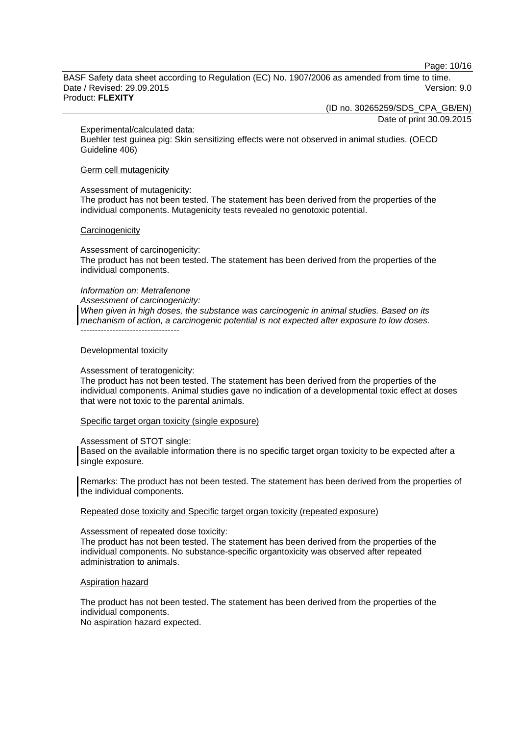Page: 10/16

BASF Safety data sheet according to Regulation (EC) No. 1907/2006 as amended from time to time. Date / Revised: 29.09.2015 Version: 9.0 Product: **FLEXITY**

(ID no. 30265259/SDS\_CPA\_GB/EN)

Date of print 30.09.2015

Experimental/calculated data:

Buehler test guinea pig: Skin sensitizing effects were not observed in animal studies. (OECD Guideline 406)

#### Germ cell mutagenicity

Assessment of mutagenicity:

The product has not been tested. The statement has been derived from the properties of the individual components. Mutagenicity tests revealed no genotoxic potential.

#### **Carcinogenicity**

Assessment of carcinogenicity: The product has not been tested. The statement has been derived from the properties of the individual components.

#### *Information on: Metrafenone*

*Assessment of carcinogenicity:*

*When given in high doses, the substance was carcinogenic in animal studies. Based on its mechanism of action, a carcinogenic potential is not expected after exposure to low doses.*

----------------------------------

#### Developmental toxicity

#### Assessment of teratogenicity:

The product has not been tested. The statement has been derived from the properties of the individual components. Animal studies gave no indication of a developmental toxic effect at doses that were not toxic to the parental animals.

#### Specific target organ toxicity (single exposure)

#### Assessment of STOT single:

Based on the available information there is no specific target organ toxicity to be expected after a single exposure.

Remarks: The product has not been tested. The statement has been derived from the properties of the individual components.

#### Repeated dose toxicity and Specific target organ toxicity (repeated exposure)

#### Assessment of repeated dose toxicity:

The product has not been tested. The statement has been derived from the properties of the individual components. No substance-specific organtoxicity was observed after repeated administration to animals.

#### Aspiration hazard

The product has not been tested. The statement has been derived from the properties of the individual components.

No aspiration hazard expected.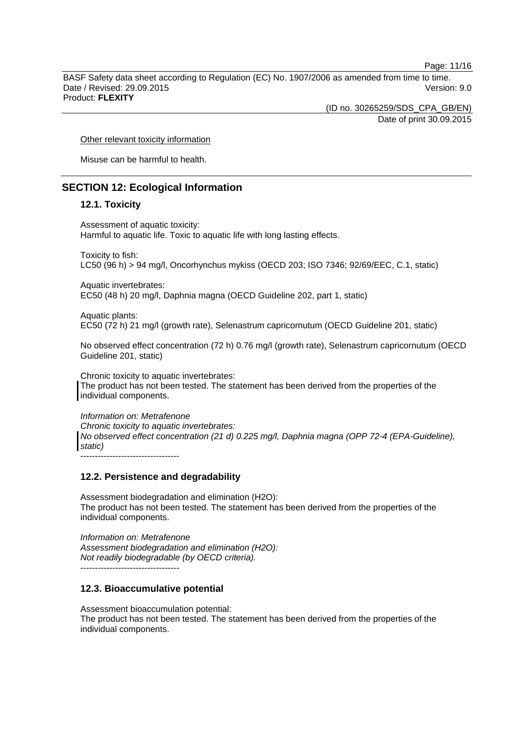Page: 11/16

BASF Safety data sheet according to Regulation (EC) No. 1907/2006 as amended from time to time. Date / Revised: 29.09.2015 Version: 9.0 Product: **FLEXITY**

(ID no. 30265259/SDS\_CPA\_GB/EN)

Date of print 30.09.2015

Other relevant toxicity information

Misuse can be harmful to health.

# **SECTION 12: Ecological Information**

## **12.1. Toxicity**

Assessment of aquatic toxicity: Harmful to aquatic life. Toxic to aquatic life with long lasting effects.

Toxicity to fish: LC50 (96 h) > 94 mg/l, Oncorhynchus mykiss (OECD 203; ISO 7346; 92/69/EEC, C.1, static)

Aquatic invertebrates:

EC50 (48 h) 20 mg/l, Daphnia magna (OECD Guideline 202, part 1, static)

Aquatic plants:

EC50 (72 h) 21 mg/l (growth rate), Selenastrum capricornutum (OECD Guideline 201, static)

No observed effect concentration (72 h) 0.76 mg/l (growth rate), Selenastrum capricornutum (OECD Guideline 201, static)

Chronic toxicity to aquatic invertebrates: The product has not been tested. The statement has been derived from the properties of the individual components.

*Information on: Metrafenone Chronic toxicity to aquatic invertebrates: No observed effect concentration (21 d) 0.225 mg/l, Daphnia magna (OPP 72-4 (EPA-Guideline), static)* ----------------------------------

**12.2. Persistence and degradability**

Assessment biodegradation and elimination (H2O): The product has not been tested. The statement has been derived from the properties of the individual components.

*Information on: Metrafenone Assessment biodegradation and elimination (H2O): Not readily biodegradable (by OECD criteria).* ----------------------------------

# **12.3. Bioaccumulative potential**

Assessment bioaccumulation potential: The product has not been tested. The statement has been derived from the properties of the individual components.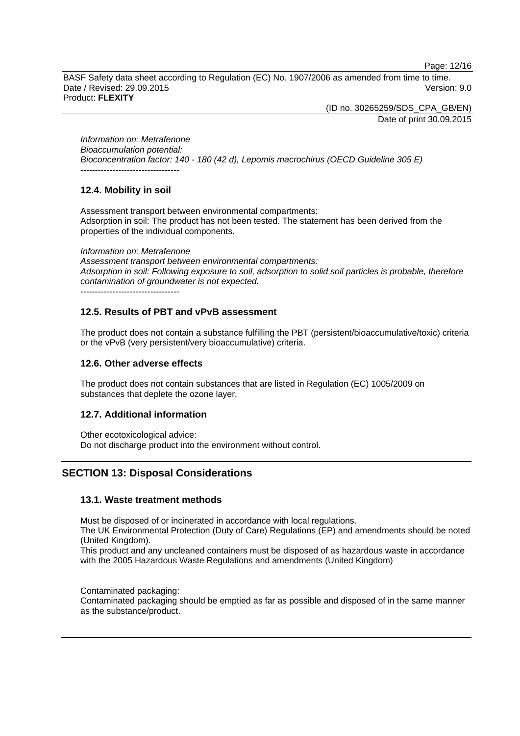Page: 12/16

BASF Safety data sheet according to Regulation (EC) No. 1907/2006 as amended from time to time. Date / Revised: 29.09.2015 Version: 9.0 Product: **FLEXITY**

(ID no. 30265259/SDS\_CPA\_GB/EN)

Date of print 30.09.2015

*Information on: Metrafenone Bioaccumulation potential: Bioconcentration factor: 140 - 180 (42 d), Lepomis macrochirus (OECD Guideline 305 E)* ----------------------------------

# **12.4. Mobility in soil**

Assessment transport between environmental compartments: Adsorption in soil: The product has not been tested. The statement has been derived from the properties of the individual components.

*Information on: Metrafenone*

*Assessment transport between environmental compartments: Adsorption in soil: Following exposure to soil, adsorption to solid soil particles is probable, therefore contamination of groundwater is not expected.* ----------------------------------

# **12.5. Results of PBT and vPvB assessment**

The product does not contain a substance fulfilling the PBT (persistent/bioaccumulative/toxic) criteria or the vPvB (very persistent/very bioaccumulative) criteria.

# **12.6. Other adverse effects**

The product does not contain substances that are listed in Regulation (EC) 1005/2009 on substances that deplete the ozone layer.

# **12.7. Additional information**

Other ecotoxicological advice: Do not discharge product into the environment without control.

# **SECTION 13: Disposal Considerations**

# **13.1. Waste treatment methods**

Must be disposed of or incinerated in accordance with local regulations.

The UK Environmental Protection (Duty of Care) Regulations (EP) and amendments should be noted (United Kingdom).

This product and any uncleaned containers must be disposed of as hazardous waste in accordance with the 2005 Hazardous Waste Regulations and amendments (United Kingdom)

Contaminated packaging: Contaminated packaging should be emptied as far as possible and disposed of in the same manner as the substance/product.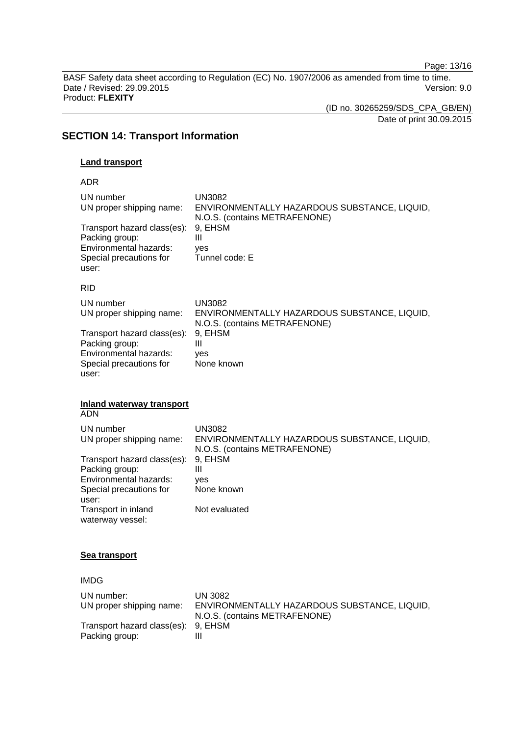Page: 13/16

BASF Safety data sheet according to Regulation (EC) No. 1907/2006 as amended from time to time. Date / Revised: 29.09.2015 Version: 9.0 Product: **FLEXITY**

(ID no. 30265259/SDS\_CPA\_GB/EN)

Date of print 30.09.2015

# **SECTION 14: Transport Information**

## **Land transport**

ADR

| UN number<br>UN proper shipping name:                                                                       | UN3082<br>ENVIRONMENTALLY HAZARDOUS SUBSTANCE, LIQUID,<br>N.O.S. (contains METRAFENONE) |
|-------------------------------------------------------------------------------------------------------------|-----------------------------------------------------------------------------------------|
| Transport hazard class(es):<br>Packing group:<br>Environmental hazards:<br>Special precautions for<br>user: | 9, EHSM<br>Ш<br>ves<br>Tunnel code: E                                                   |
| <b>RID</b>                                                                                                  |                                                                                         |
| UN number<br>UN proper shipping name:                                                                       | UN3082<br>ENVIRONMENTALLY HAZARDOUS SUBSTANCE, LIQUID,<br>N.O.S. (contains METRAFENONE) |
| Transport hazard class(es):<br>Packing group:<br>Environmental hazards:<br>Special precautions for<br>user: | 9, EHSM<br>Ш<br>ves<br>None known                                                       |

#### **Inland waterway transport** ADN

| UN number<br>UN proper shipping name: | UN3082<br>ENVIRONMENTALLY HAZARDOUS SUBSTANCE, LIQUID, |
|---------------------------------------|--------------------------------------------------------|
| Transport hazard class(es):           | N.O.S. (contains METRAFENONE)<br>9, EHSM               |
| Packing group:                        | Ш                                                      |
| Environmental hazards:                | ves                                                    |
| Special precautions for               | None known                                             |
| user:                                 |                                                        |
| Transport in inland                   | Not evaluated                                          |
| waterway vessel:                      |                                                        |

# **Sea transport**

IMDG UN number: UN 3082 UN proper shipping name: ENVIRONMENTALLY HAZARDOUS SUBSTANCE, LIQUID, N.O.S. (contains METRAFENONE) Transport hazard class(es): 9, EHSM<br>Packing group: III Packing group: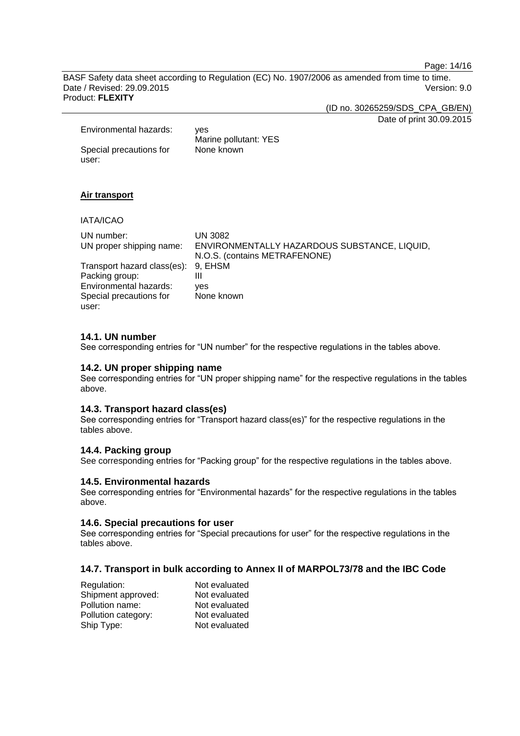Page: 14/16

BASF Safety data sheet according to Regulation (EC) No. 1907/2006 as amended from time to time. Date / Revised: 29.09.2015 Version: 9.0 Product: **FLEXITY**

(ID no. 30265259/SDS\_CPA\_GB/EN)

Date of print 30.09.2015

| Environmental hazards:  | ves<br>Marine pollutant: YES |  |
|-------------------------|------------------------------|--|
| Special precautions for | None known                   |  |
| user:                   |                              |  |

# **Air transport**

IATA/ICAO

| UN number:                          | UN 3082                                      |
|-------------------------------------|----------------------------------------------|
| UN proper shipping name:            | ENVIRONMENTALLY HAZARDOUS SUBSTANCE, LIQUID, |
|                                     | N.O.S. (contains METRAFENONE)                |
| Transport hazard class(es): 9, EHSM |                                              |
| Packing group:                      | Ш                                            |
| Environmental hazards:              | ves                                          |
| Special precautions for             | None known                                   |
| user:                               |                                              |

## **14.1. UN number**

See corresponding entries for "UN number" for the respective regulations in the tables above.

## **14.2. UN proper shipping name**

See corresponding entries for "UN proper shipping name" for the respective regulations in the tables above.

#### **14.3. Transport hazard class(es)**

See corresponding entries for "Transport hazard class(es)" for the respective regulations in the tables above.

# **14.4. Packing group**

See corresponding entries for "Packing group" for the respective regulations in the tables above.

# **14.5. Environmental hazards**

See corresponding entries for "Environmental hazards" for the respective regulations in the tables above.

#### **14.6. Special precautions for user**

See corresponding entries for "Special precautions for user" for the respective regulations in the tables above.

# **14.7. Transport in bulk according to Annex II of MARPOL73/78 and the IBC Code**

| Regulation:         | Not evaluated |
|---------------------|---------------|
| Shipment approved:  | Not evaluated |
| Pollution name:     | Not evaluated |
| Pollution category: | Not evaluated |
| Ship Type:          | Not evaluated |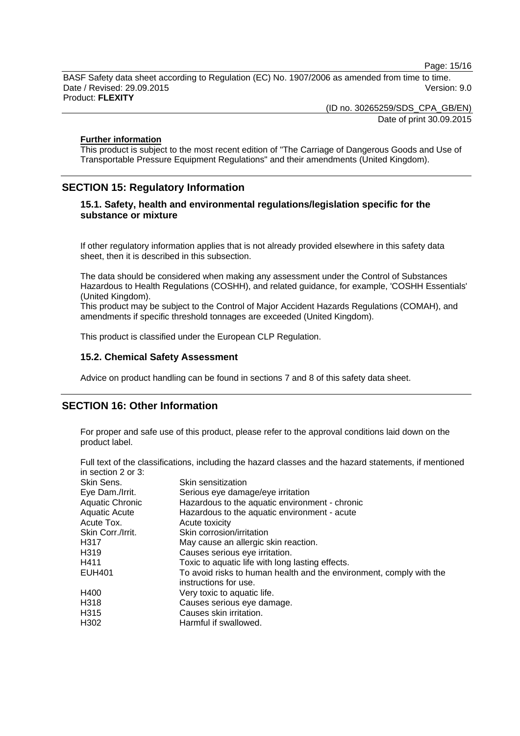Page: 15/16

BASF Safety data sheet according to Regulation (EC) No. 1907/2006 as amended from time to time. Date / Revised: 29.09.2015 Version: 9.0 Product: **FLEXITY**

(ID no. 30265259/SDS\_CPA\_GB/EN)

Date of print 30.09.2015

### **Further information**

This product is subject to the most recent edition of "The Carriage of Dangerous Goods and Use of Transportable Pressure Equipment Regulations" and their amendments (United Kingdom).

# **SECTION 15: Regulatory Information**

# **15.1. Safety, health and environmental regulations/legislation specific for the substance or mixture**

If other regulatory information applies that is not already provided elsewhere in this safety data sheet, then it is described in this subsection.

The data should be considered when making any assessment under the Control of Substances Hazardous to Health Regulations (COSHH), and related guidance, for example, 'COSHH Essentials' (United Kingdom).

This product may be subject to the Control of Major Accident Hazards Regulations (COMAH), and amendments if specific threshold tonnages are exceeded (United Kingdom).

This product is classified under the European CLP Regulation.

# **15.2. Chemical Safety Assessment**

Advice on product handling can be found in sections 7 and 8 of this safety data sheet.

# **SECTION 16: Other Information**

For proper and safe use of this product, please refer to the approval conditions laid down on the product label.

Full text of the classifications, including the hazard classes and the hazard statements, if mentioned in section 2 or 3:

| Skin Sens.        | Skin sensitization                                                  |
|-------------------|---------------------------------------------------------------------|
| Eye Dam./Irrit.   | Serious eye damage/eye irritation                                   |
| Aquatic Chronic   | Hazardous to the aquatic environment - chronic                      |
| Aquatic Acute     | Hazardous to the aquatic environment - acute                        |
| Acute Tox.        | Acute toxicity                                                      |
| Skin Corr./Irrit. | Skin corrosion/irritation                                           |
| H317              | May cause an allergic skin reaction.                                |
| H319              | Causes serious eye irritation.                                      |
| H411              | Toxic to aquatic life with long lasting effects.                    |
| EUH401            | To avoid risks to human health and the environment, comply with the |
|                   | instructions for use.                                               |
| H400              | Very toxic to aquatic life.                                         |
| H318              | Causes serious eye damage.                                          |
| H315              | Causes skin irritation.                                             |
| H302              | Harmful if swallowed.                                               |